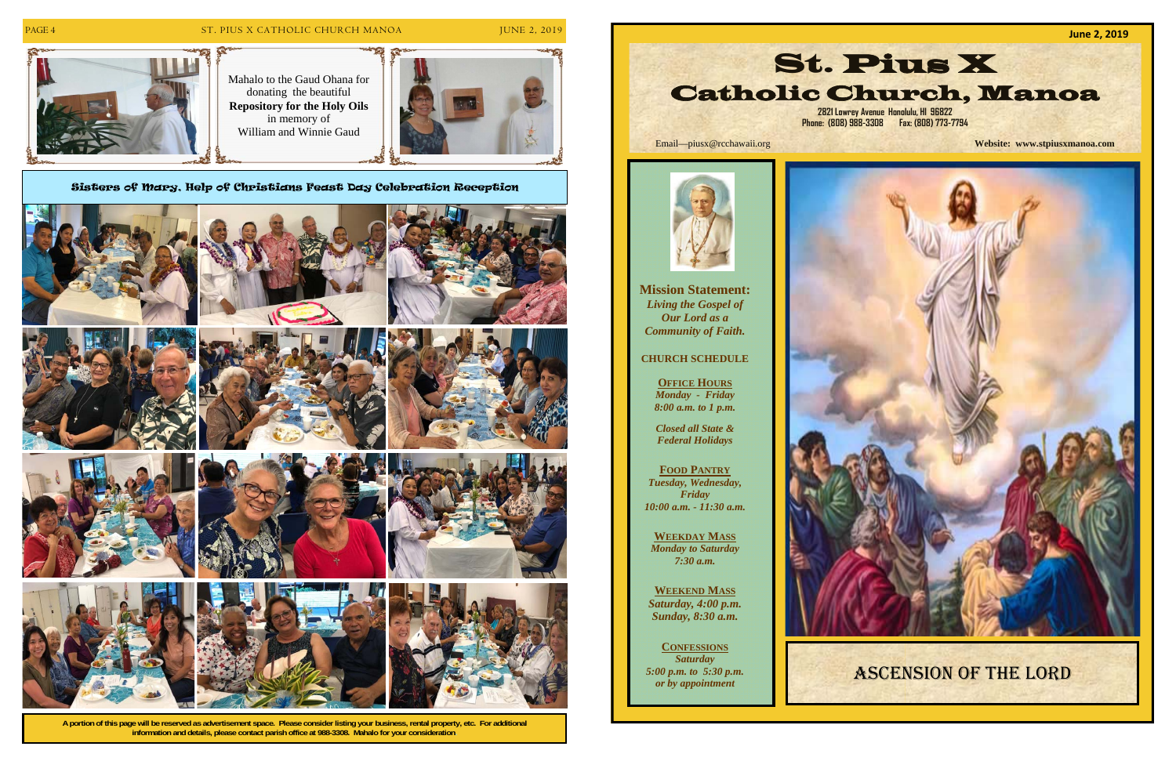

# PAGE 4 ST. PIUS X CATHOLIC CHURCH MANOA JUNE 2, 2019

**A portion of this page will be reserved as advertisement space. Please consider listing your business, rental property, etc. For additional information and details, please contact parish office at 988-3308. Mahalo for your consideration.** 





Sisters of Mary, Help of Christians Feast Day Celebration Reception















**Mission Statement:**  *Living the Gospel of Our Lord as a Community of Faith.* 

### **CHURCH SCHEDULE**

**OFFICE HOURS** *Monday - Friday 8:00 a.m. to 1 p.m.* 

*Closed all State & Federal Holidays* 

**FOOD PANTRY** *Tuesday, Wednesday, Friday 10:00 a.m. - 11:30 a.m.* 

**WEEKDAY MASS** *Monday to Saturday 7:30 a.m.* 

**WEEKEND MASS** *Saturday, 4:00 p.m. Sunday, 8:30 a.m.* 

**CONFESSIONS** *Saturday 5:00 p.m. to 5:30 p.m. or by appointment* 



**June 2, 2019** St. Pius X Catholic Church, Manoa **2821 Lowrey Avenue Honolulu, HI 96822 Phone: (808) 988-3308 Fax: (808) 773-7794** 

Email—piusx@rcchawaii.org **Website: www.stpiusxmanoa.com**



# ASCENSION OF THE LORD